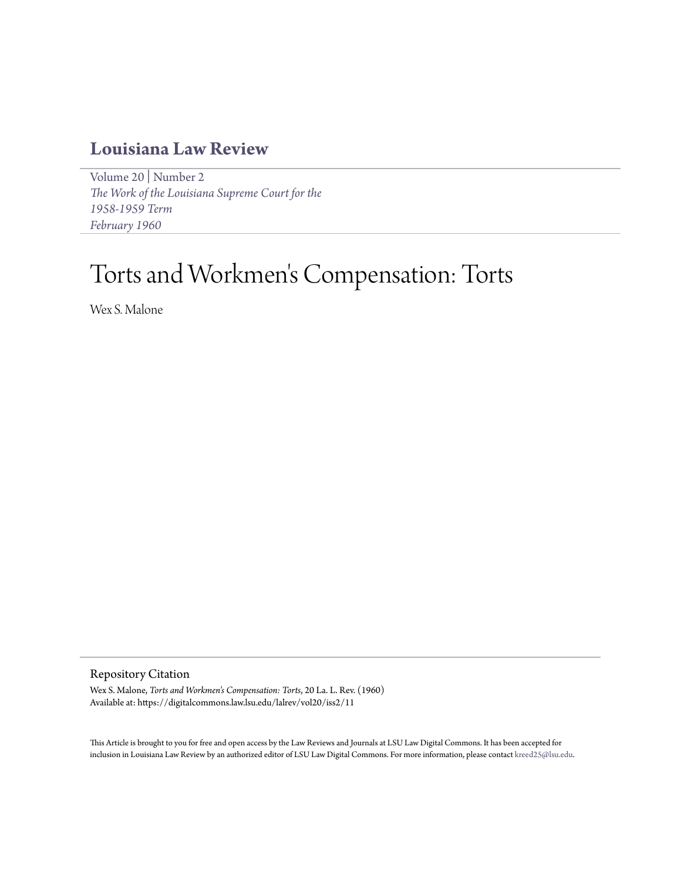# **[Louisiana Law Review](https://digitalcommons.law.lsu.edu/lalrev)**

[Volume 20](https://digitalcommons.law.lsu.edu/lalrev/vol20) | [Number 2](https://digitalcommons.law.lsu.edu/lalrev/vol20/iss2) *[The Work of the Louisiana Supreme Court for the](https://digitalcommons.law.lsu.edu/lalrev/vol20/iss2) [1958-1959 Term](https://digitalcommons.law.lsu.edu/lalrev/vol20/iss2) [February 1960](https://digitalcommons.law.lsu.edu/lalrev/vol20/iss2)*

# Torts and Workmen 's Compensation: Torts

Wex S. Malone

Repository Citation

Wex S. Malone, *Torts and Workmen's Compensation: Torts*, 20 La. L. Rev. (1960) Available at: https://digitalcommons.law.lsu.edu/lalrev/vol20/iss2/11

This Article is brought to you for free and open access by the Law Reviews and Journals at LSU Law Digital Commons. It has been accepted for inclusion in Louisiana Law Review by an authorized editor of LSU Law Digital Commons. For more information, please contact [kreed25@lsu.edu](mailto:kreed25@lsu.edu).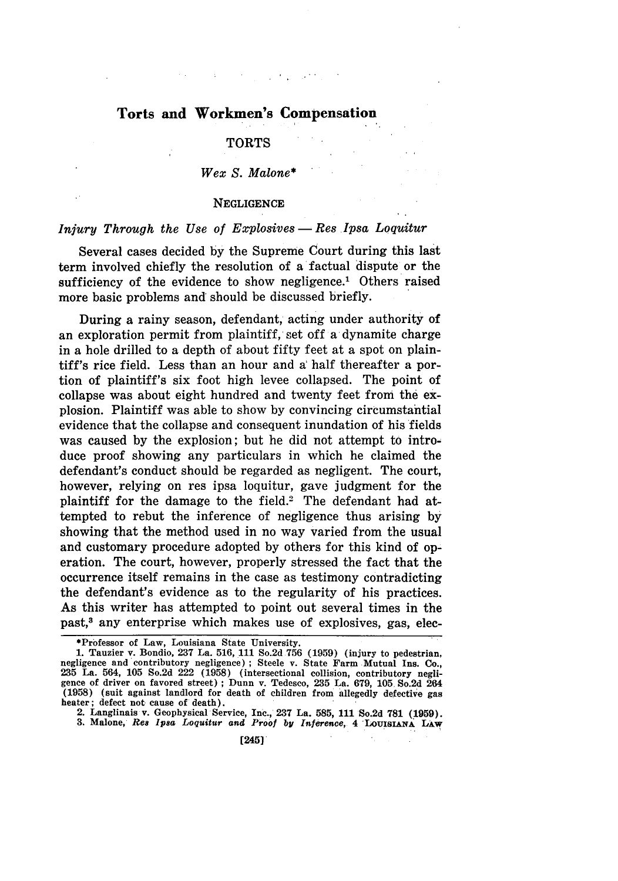# **Torts and Workmen's Compensation**

#### **TORTS**

#### *Wex S. Malone\**

#### **NEGLIGENCE**

# *Injury Through the Use of Explosives* - *Res Ipsa Loquitur*

Several cases decided by the Supreme Court during this last term involved chiefly the resolution of a factual dispute or the sufficiency of the evidence to show negligence.<sup>1</sup> Others raised more basic problems and should be discussed briefly.

During a rainy season, defendant, acting under authority of an exploration permit from plaintiff, set off a dynamite charge in a hole drilled to a depth of about fifty feet at a spot on plaintiff's rice field. Less than an hour and a' half thereafter a portion of plaintiff's six foot high levee collapsed. The point of collapse was about eight hundred and twenty feet from the explosion. Plaintiff was able to show by convincing circumstantial evidence that the collapse and consequent inundation of his fields was caused by the explosion; but he did not attempt to introduce proof showing any particulars in which he claimed the defendant's conduct should be regarded as negligent. The court, however, relying on res ipsa loquitur, gave judgment for the plaintiff for the damage to the field.<sup>2</sup> The defendant had attempted to rebut the inference of negligence thus arising by showing that the method used in no way varied from the usual and customary procedure adopted by others for this kind of operation. The court, however, properly stressed the fact that the occurrence itself remains in the case as testimony contradicting the defendant's evidence as to the regularity of his practices. As this writer has attempted to point out several times in the past,3 any enterprise which makes use of explosives, gas, elec-

<sup>\*</sup>Professor of Law, Louisiana State University.

<sup>1.</sup> Tauzier v. Bondio, 237 La. 516, 111 So.2d **756** (1959) (injury to pedestrian, negligence and contributory negligence) ; Steele v. State Farm Mutual ins. Co., 235 La. 564, 105 So.2d 222 (1958) (intersectional collision, contributory negligence of driver on favored street) **;** Dunn v. Tedesco, 235 La. 679, 105 So.2d 264 (1958) (suit against landlord for death of children from allegedly defective gas heater; defect not cause of death).

<sup>2.</sup> Langlinais v. Geophysical Service, Inc., **237** La. **585, 111** So.2d **781 (1959). 3.** Malone, **Res Ipsa** *Loquitur and Proof* **by** *Inference,* **4 LOUISIANA LAW**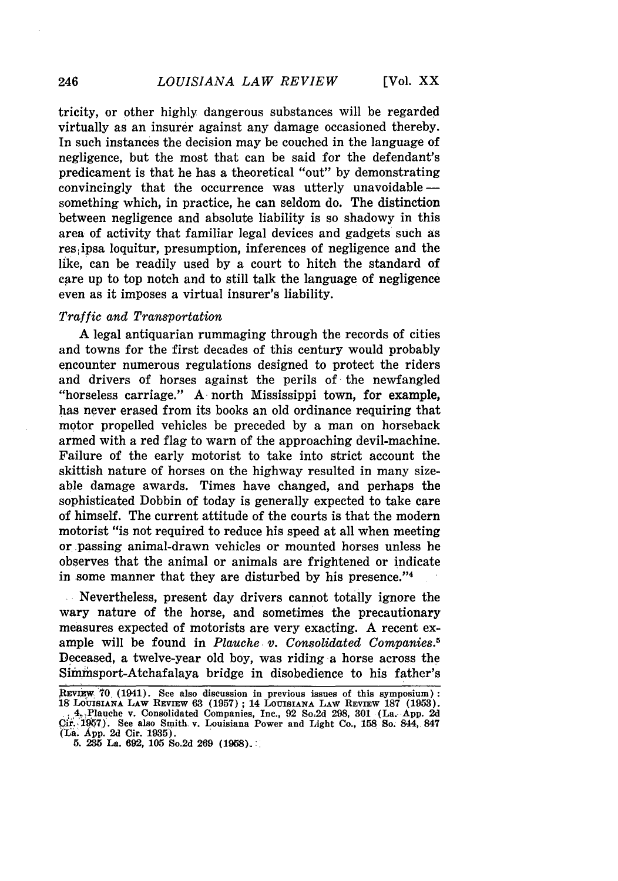**[Vol. XX**

tricity, or other highly dangerous substances will be regarded virtually as an insurer against any damage occasioned thereby. In such instances the decision may be couched in the language of negligence, but the most that can be said for the defendant's predicament is that he has a theoretical "out" by demonstrating convincingly that the occurrence was utterly unavoidable  something which, in practice, he can seldom do. The distinction between negligence and absolute liability is so shadowy in this area of activity that familiar legal devices and gadgets such as res ipsa loquitur, presumption, inferences of negligence and the like, can be readily used by a court to hitch the standard of care up to top notch and to still talk the language of negligence even as it imposes a virtual insurer's liability.

#### *Traffic and Transportation*

A legal antiquarian rummaging through the records of cities and towns for the first decades of this century would probably encounter numerous regulations designed to protect the riders and drivers of horses against the perils of the newfangled "horseless carriage." A north Mississippi town, for example, has never erased from its books an old ordinance requiring that motor propelled vehicles be preceded by a man on horseback armed with a red flag to warn of the approaching devil-machine. Failure of the early motorist to take into strict account the skittish nature of horses on the highway resulted in many sizeable damage awards. Times have changed, and perhaps the sophisticated Dobbin of today is generally expected to take care of himself. The current attitude of the courts is that the modern motorist "is not required to reduce his speed at all when meeting or passing animal-drawn vehicles or mounted horses unless he observes that the animal or animals are frightened or indicate in some manner that they are disturbed by his presence."<sup>4</sup>

Nevertheless, present day drivers cannot totally ignore the wary nature of the horse, and sometimes the precautionary measures expected of motorists are very exacting. A recent example will be found in *Plauche v. Consolidated Companies.5* Deceased, a twelve-year old boy, was riding a horse across the Simimsport-Atchafalaya bridge in disobedience to his father's

246

**REVIEW 70 (1941).** See also discussion in previous issues of this symposium **18 LOUISIANA** LAW REVIEW **63** (1957); 14 LOUISIANA LAW REVIEW 187 (1953). , 4-Plauche v. Consolidated Companies, Inc., 92 So,2d 298, 301 (La. App. 2d **,Cir.,97).** See also Smith, v. Louisiana Power and Light Co., **158** So. 844,. 847 (1La. **App. 2d** Cir. **1935).**

**<sup>5. 235</sup> La. 692, 105** So.2d **269 (1968).:,**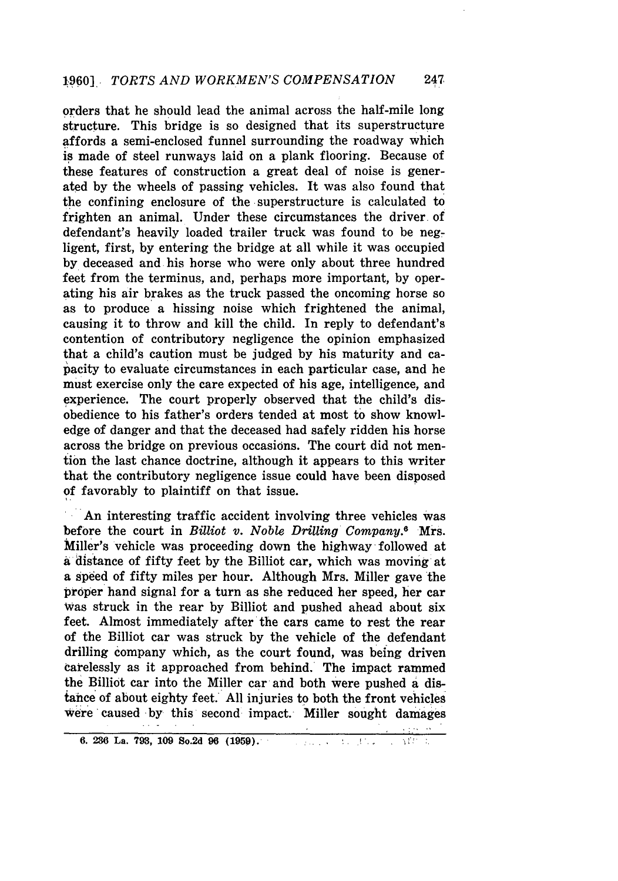orders that he should lead the animal across the half-mile long structure. This bridge is so designed that its superstructure affords a semi-enclosed funnel surrounding the roadway which is made of steel runways laid on a plank flooring. Because of these features of construction a great deal of noise is generated by the wheels of passing vehicles. It was also found that the confining enclosure of the superstructure is calculated to frighten an animal. Under these circumstances the driver of defendant's heavily loaded trailer truck was found to be negligent, first, by entering the bridge at all while it was occupied by deceased and his horse who were only about three hundred feet from the terminus, and, perhaps more important, by operating his air brakes as the truck passed the oncoming horse so as to produce a hissing noise which frightened the animal, causing it to throw and kill the child. In reply to defendant's contention of contributory negligence the opinion emphasized that a child's caution must be judged by his maturity and capacity to evaluate circumstances in each particular case, and he must exercise only the care expected of his age, intelligence, and experience. The court properly observed that the child's disobedience to his father's orders tended at most to show knowledge of danger and that the deceased had safely ridden his horse across the bridge on previous occasions. The court did not mention the last chance doctrine, although it appears to this writer that the contributory negligence issue could have been disposed of favorably to plaintiff on that issue.

An interesting traffic accident involving three vehicles was before the court in *Billiot v. Noble Drilling Company.8* Mrs. Miller's vehicle was proceeding down the highway followed at a distance of fifty feet by the Billiot car, which was moving at a speed of fifty miles per hour. Although Mrs. Miller gave the proper hand signal for a turn as she reduced her speed, her car Was struck in the rear by Billiot and pushed ahead about six feet. Almost immediately after the cars came to rest the rear of the Billiot car was struck by the vehicle of the defendant drilling company which, as the court found, was being driven carelessly as it approached from behind. The impact rammed the Billiot car into the Miller car and both were pushed a distance of about eighty feet. All injuries to both the front vehicles Were'caused by this second impact. Miller sought damages

**<sup>6. 236</sup> La. 793, 109 So.2d 96 (1959).** . $\Omega = 1.5$  .  $\chi^{\rm eff}_{\rm eff}$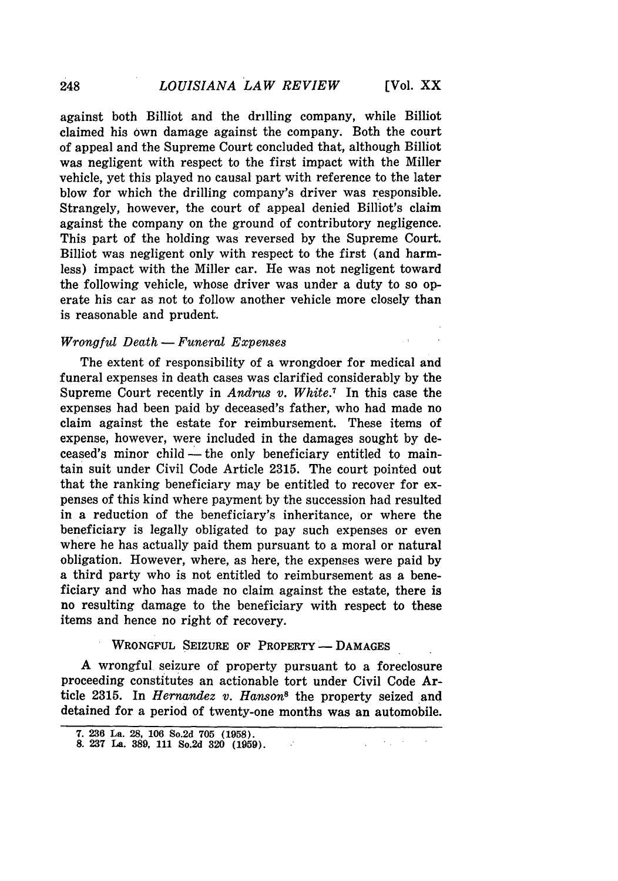against both Billiot and the drilling company, while Billiot claimed his own damage against the company. Both the court of appeal and the Supreme Court concluded that, although Billiot was negligent with respect to the first impact with the Miller vehicle, yet this played no causal part with reference to the later blow for which the drilling company's driver was responsible. Strangely, however, the court of appeal denied Billiot's claim against the company on the ground of contributory negligence. This part of the holding was reversed **by** the Supreme Court. Billiot was negligent only with respect to the first (and harmless) impact with the Miller car. He was not negligent toward the following vehicle, whose driver was under a duty to so operate his car as not to follow another vehicle more closely than is reasonable and prudent.

#### *<u>Wrongful Death</u>* - *Funeral Expenses*

The extent of responsibility of a wrongdoer for medical and funeral expenses in death cases was clarified considerably by the Supreme Court recently in *Andrus v. White.7* In this case the expenses had been paid by deceased's father, who had made no claim against the estate for reimbursement. These items of expense, however, were included in the damages sought by deceased's minor child – the only beneficiary entitled to maintain suit under Civil Code Article 2315. The court pointed out that the ranking beneficiary may be entitled to recover for expenses of this kind where payment by the succession had resulted in a reduction of the beneficiary's inheritance, or where the beneficiary is legally obligated to pay such expenses or even where he has actually paid them pursuant to a moral or natural obligation. However, where, as here, the expenses were paid by a third party who is not entitled to reimbursement as a beneficiary and who has made no claim against the estate, there is no resulting damage to the beneficiary with respect to these items and hence no right of recovery.

### WRONGFUL **SEIZURE** OF PROPERTY **- DAMAGES**

**A** wrongful seizure of property pursuant to a foreclosure proceeding constitutes an actionable tort under Civil Code Article **2315.** In *Hernandez v. Hanson8* the property seized and detained for a period of twenty-one months was an automobile.

 $\mathcal{L}$ 

**<sup>7. 236</sup>** La. **28, 106** So.2d **705 (1958).**

**<sup>8. 237</sup>** La. **389, 111** So.2d **320 (1959).**